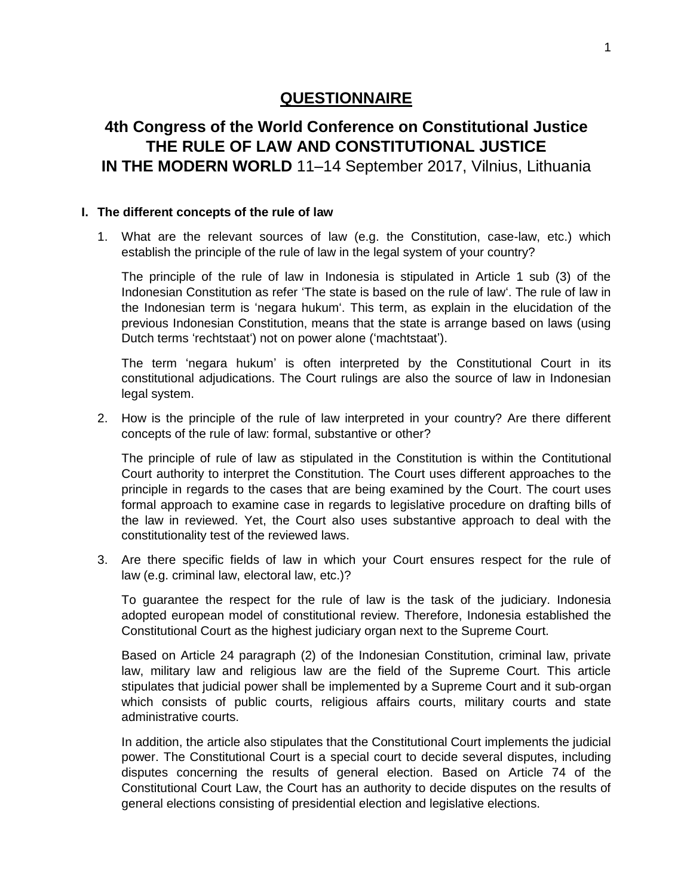# **QUESTIONNAIRE**

# **4th Congress of the World Conference on Constitutional Justice THE RULE OF LAW AND CONSTITUTIONAL JUSTICE IN THE MODERN WORLD** 11–14 September 2017, Vilnius, Lithuania

### **I. The different concepts of the rule of law**

1. What are the relevant sources of law (e.g. the Constitution, case-law, etc.) which establish the principle of the rule of law in the legal system of your country?

The principle of the rule of law in Indonesia is stipulated in Article 1 sub (3) of the Indonesian Constitution as refer 'The state is based on the rule of law'. The rule of law in the Indonesian term is 'negara hukum'. This term, as explain in the elucidation of the previous Indonesian Constitution, means that the state is arrange based on laws (using Dutch terms 'rechtstaat') not on power alone ('machtstaat').

The term 'negara hukum' is often interpreted by the Constitutional Court in its constitutional adjudications. The Court rulings are also the source of law in Indonesian legal system.

2. How is the principle of the rule of law interpreted in your country? Are there different concepts of the rule of law: formal, substantive or other?

The principle of rule of law as stipulated in the Constitution is within the Contitutional Court authority to interpret the Constitution. The Court uses different approaches to the principle in regards to the cases that are being examined by the Court. The court uses formal approach to examine case in regards to legislative procedure on drafting bills of the law in reviewed. Yet, the Court also uses substantive approach to deal with the constitutionality test of the reviewed laws.

3. Are there specific fields of law in which your Court ensures respect for the rule of law (e.g. criminal law, electoral law, etc.)?

To guarantee the respect for the rule of law is the task of the judiciary. Indonesia adopted european model of constitutional review. Therefore, Indonesia established the Constitutional Court as the highest judiciary organ next to the Supreme Court.

Based on Article 24 paragraph (2) of the Indonesian Constitution, criminal law, private law, military law and religious law are the field of the Supreme Court. This article stipulates that judicial power shall be implemented by a Supreme Court and it sub-organ which consists of public courts, religious affairs courts, military courts and state administrative courts.

In addition, the article also stipulates that the Constitutional Court implements the judicial power. The Constitutional Court is a special court to decide several disputes, including disputes concerning the results of general election. Based on Article 74 of the Constitutional Court Law, the Court has an authority to decide disputes on the results of general elections consisting of presidential election and legislative elections.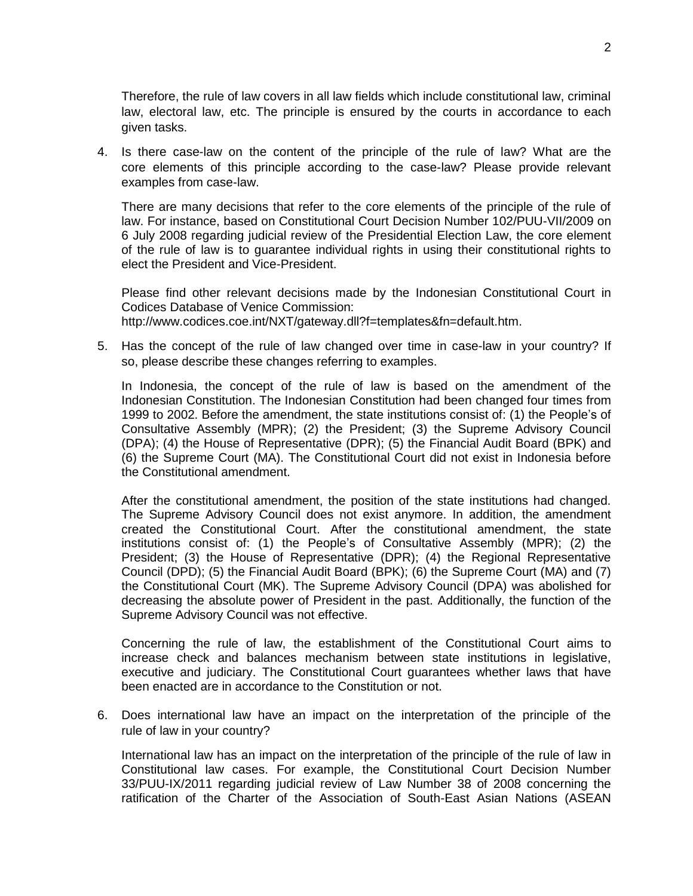Therefore, the rule of law covers in all law fields which include constitutional law, criminal law, electoral law, etc. The principle is ensured by the courts in accordance to each given tasks.

4. Is there case-law on the content of the principle of the rule of law? What are the core elements of this principle according to the case-law? Please provide relevant examples from case-law.

There are many decisions that refer to the core elements of the principle of the rule of law. For instance, based on Constitutional Court Decision Number 102/PUU-VII/2009 on 6 July 2008 regarding judicial review of the Presidential Election Law, the core element of the rule of law is to guarantee individual rights in using their constitutional rights to elect the President and Vice-President.

Please find other relevant decisions made by the Indonesian Constitutional Court in Codices Database of Venice Commission: http://www.codices.coe.int/NXT/gateway.dll?f=templates&fn=default.htm.

5. Has the concept of the rule of law changed over time in case-law in your country? If so, please describe these changes referring to examples.

In Indonesia, the concept of the rule of law is based on the amendment of the Indonesian Constitution. The Indonesian Constitution had been changed four times from 1999 to 2002. Before the amendment, the state institutions consist of: (1) the People's of Consultative Assembly (MPR); (2) the President; (3) the Supreme Advisory Council (DPA); (4) the House of Representative (DPR); (5) the Financial Audit Board (BPK) and (6) the Supreme Court (MA). The Constitutional Court did not exist in Indonesia before the Constitutional amendment.

After the constitutional amendment, the position of the state institutions had changed. The Supreme Advisory Council does not exist anymore. In addition, the amendment created the Constitutional Court. After the constitutional amendment, the state institutions consist of: (1) the People's of Consultative Assembly (MPR); (2) the President; (3) the House of Representative (DPR); (4) the Regional Representative Council (DPD); (5) the Financial Audit Board (BPK); (6) the Supreme Court (MA) and (7) the Constitutional Court (MK). The Supreme Advisory Council (DPA) was abolished for decreasing the absolute power of President in the past. Additionally, the function of the Supreme Advisory Council was not effective.

Concerning the rule of law, the establishment of the Constitutional Court aims to increase check and balances mechanism between state institutions in legislative, executive and judiciary. The Constitutional Court guarantees whether laws that have been enacted are in accordance to the Constitution or not.

6. Does international law have an impact on the interpretation of the principle of the rule of law in your country?

International law has an impact on the interpretation of the principle of the rule of law in Constitutional law cases. For example, the Constitutional Court Decision Number 33/PUU-IX/2011 regarding judicial review of Law Number 38 of 2008 concerning the ratification of the Charter of the Association of South-East Asian Nations (ASEAN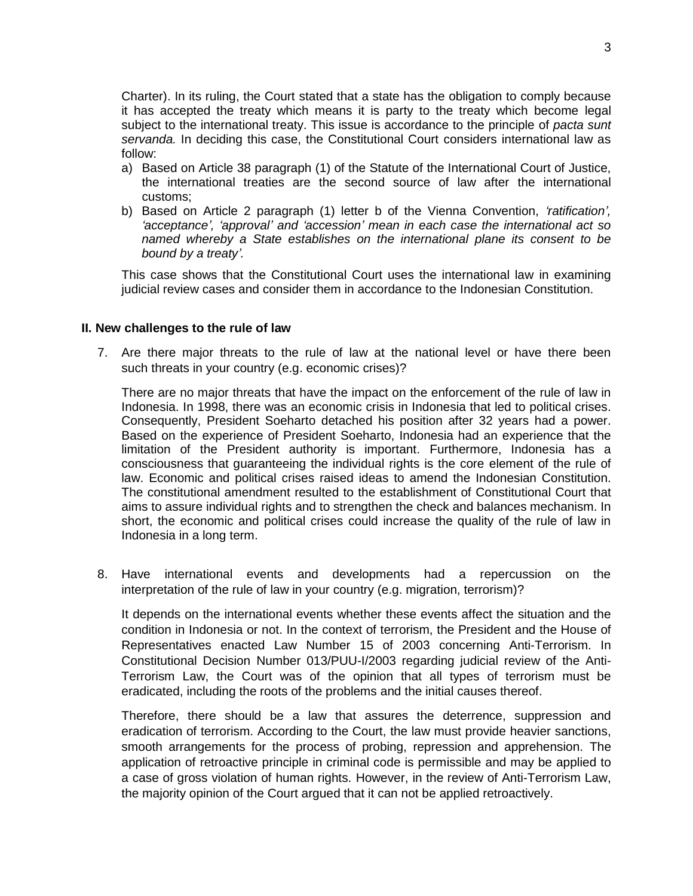Charter). In its ruling, the Court stated that a state has the obligation to comply because it has accepted the treaty which means it is party to the treaty which become legal subject to the international treaty. This issue is accordance to the principle of *pacta sunt servanda.* In deciding this case, the Constitutional Court considers international law as follow:

- a) Based on Article 38 paragraph (1) of the Statute of the International Court of Justice, the international treaties are the second source of law after the international customs;
- b) Based on Article 2 paragraph (1) letter b of the Vienna Convention, *'ratification', 'acceptance', 'approval' and 'accession' mean in each case the international act so named whereby a State establishes on the international plane its consent to be bound by a treaty'.*

This case shows that the Constitutional Court uses the international law in examining judicial review cases and consider them in accordance to the Indonesian Constitution.

#### **II. New challenges to the rule of law**

7. Are there major threats to the rule of law at the national level or have there been such threats in your country (e.g. economic crises)?

There are no major threats that have the impact on the enforcement of the rule of law in Indonesia. In 1998, there was an economic crisis in Indonesia that led to political crises. Consequently, President Soeharto detached his position after 32 years had a power. Based on the experience of President Soeharto, Indonesia had an experience that the limitation of the President authority is important. Furthermore, Indonesia has a consciousness that guaranteeing the individual rights is the core element of the rule of law. Economic and political crises raised ideas to amend the Indonesian Constitution. The constitutional amendment resulted to the establishment of Constitutional Court that aims to assure individual rights and to strengthen the check and balances mechanism. In short, the economic and political crises could increase the quality of the rule of law in Indonesia in a long term.

8. Have international events and developments had a repercussion on the interpretation of the rule of law in your country (e.g. migration, terrorism)?

It depends on the international events whether these events affect the situation and the condition in Indonesia or not. In the context of terrorism, the President and the House of Representatives enacted Law Number 15 of 2003 concerning Anti-Terrorism. In Constitutional Decision Number 013/PUU-I/2003 regarding judicial review of the Anti-Terrorism Law, the Court was of the opinion that all types of terrorism must be eradicated, including the roots of the problems and the initial causes thereof.

Therefore, there should be a law that assures the deterrence, suppression and eradication of terrorism. According to the Court, the law must provide heavier sanctions, smooth arrangements for the process of probing, repression and apprehension. The application of retroactive principle in criminal code is permissible and may be applied to a case of gross violation of human rights. However, in the review of Anti-Terrorism Law, the majority opinion of the Court argued that it can not be applied retroactively.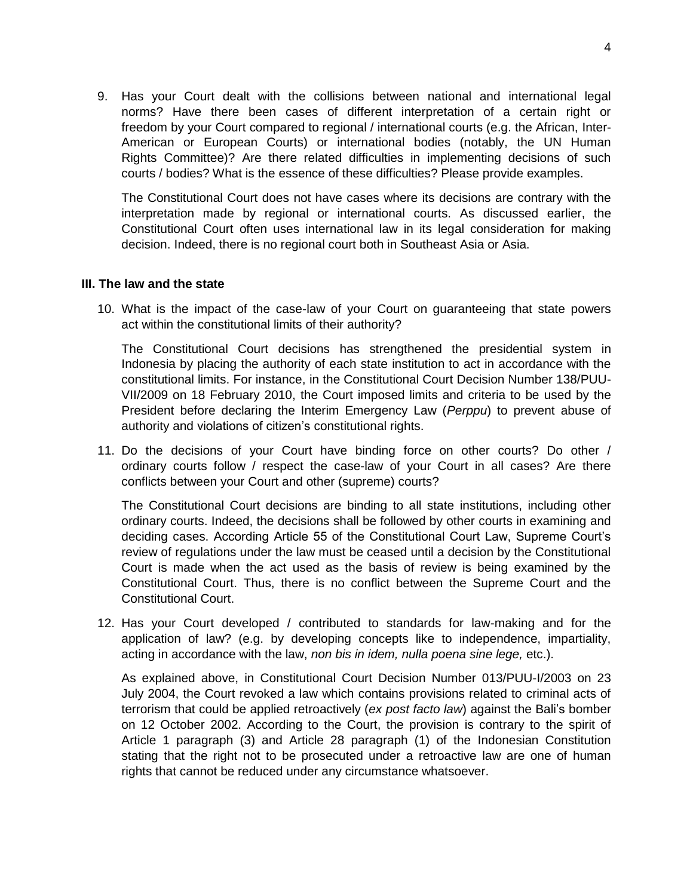9. Has your Court dealt with the collisions between national and international legal norms? Have there been cases of different interpretation of a certain right or freedom by your Court compared to regional / international courts (e.g. the African, Inter-American or European Courts) or international bodies (notably, the UN Human Rights Committee)? Are there related difficulties in implementing decisions of such courts / bodies? What is the essence of these difficulties? Please provide examples.

The Constitutional Court does not have cases where its decisions are contrary with the interpretation made by regional or international courts. As discussed earlier, the Constitutional Court often uses international law in its legal consideration for making decision. Indeed, there is no regional court both in Southeast Asia or Asia.

## **III. The law and the state**

10. What is the impact of the case-law of your Court on guaranteeing that state powers act within the constitutional limits of their authority?

The Constitutional Court decisions has strengthened the presidential system in Indonesia by placing the authority of each state institution to act in accordance with the constitutional limits. For instance, in the Constitutional Court Decision Number 138/PUU-VII/2009 on 18 February 2010, the Court imposed limits and criteria to be used by the President before declaring the Interim Emergency Law (*Perppu*) to prevent abuse of authority and violations of citizen's constitutional rights.

11. Do the decisions of your Court have binding force on other courts? Do other / ordinary courts follow / respect the case-law of your Court in all cases? Are there conflicts between your Court and other (supreme) courts?

The Constitutional Court decisions are binding to all state institutions, including other ordinary courts. Indeed, the decisions shall be followed by other courts in examining and deciding cases. According Article 55 of the Constitutional Court Law, Supreme Court's review of regulations under the law must be ceased until a decision by the Constitutional Court is made when the act used as the basis of review is being examined by the Constitutional Court. Thus, there is no conflict between the Supreme Court and the Constitutional Court.

12. Has your Court developed / contributed to standards for law-making and for the application of law? (e.g. by developing concepts like to independence, impartiality, acting in accordance with the law, *non bis in idem, nulla poena sine lege,* etc.).

As explained above, in Constitutional Court Decision Number 013/PUU-I/2003 on 23 July 2004, the Court revoked a law which contains provisions related to criminal acts of terrorism that could be applied retroactively (*ex post facto law*) against the Bali's bomber on 12 October 2002. According to the Court, the provision is contrary to the spirit of Article 1 paragraph (3) and Article 28 paragraph (1) of the Indonesian Constitution stating that the right not to be prosecuted under a retroactive law are one of human rights that cannot be reduced under any circumstance whatsoever.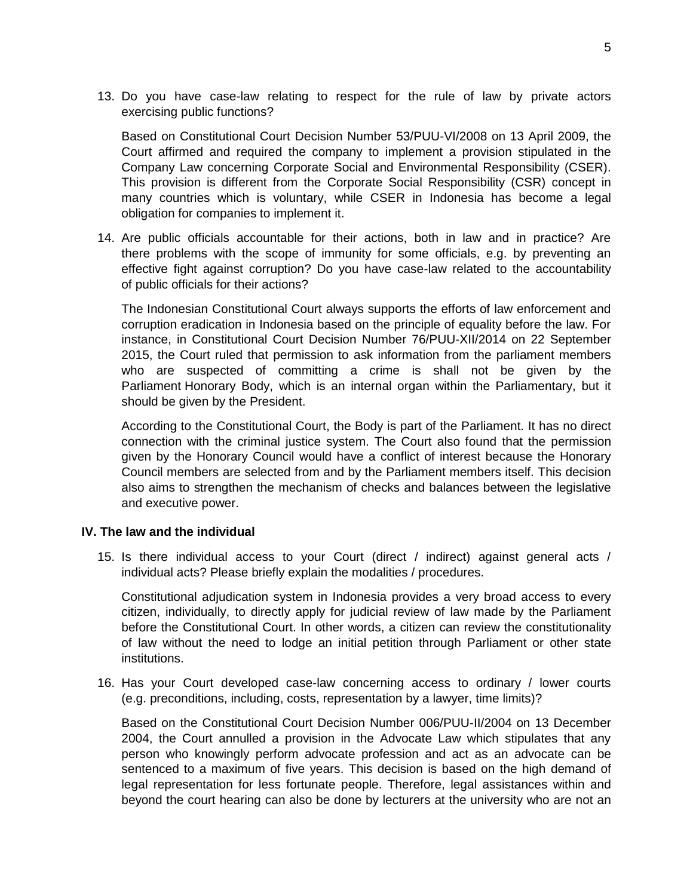13. Do you have case-law relating to respect for the rule of law by private actors exercising public functions?

Based on Constitutional Court Decision Number 53/PUU-VI/2008 on 13 April 2009, the Court affirmed and required the company to implement a provision stipulated in the Company Law concerning Corporate Social and Environmental Responsibility (CSER). This provision is different from the Corporate Social Responsibility (CSR) concept in many countries which is voluntary, while CSER in Indonesia has become a legal obligation for companies to implement it.

14. Are public officials accountable for their actions, both in law and in practice? Are there problems with the scope of immunity for some officials, e.g. by preventing an effective fight against corruption? Do you have case-law related to the accountability of public officials for their actions?

The Indonesian Constitutional Court always supports the efforts of law enforcement and corruption eradication in Indonesia based on the principle of equality before the law. For instance, in Constitutional Court Decision Number 76/PUU-XII/2014 on 22 September 2015, the Court ruled that permission to ask information from the parliament members who are suspected of committing a crime is shall not be given by the Parliament Honorary Body, which is an internal organ within the Parliamentary, but it should be given by the President.

According to the Constitutional Court, the Body is part of the Parliament. It has no direct connection with the criminal justice system. The Court also found that the permission given by the Honorary Council would have a conflict of interest because the Honorary Council members are selected from and by the Parliament members itself. This decision also aims to strengthen the mechanism of checks and balances between the legislative and executive power.

## **IV. The law and the individual**

15. Is there individual access to your Court (direct / indirect) against general acts / individual acts? Please briefly explain the modalities / procedures.

Constitutional adjudication system in Indonesia provides a very broad access to every citizen, individually, to directly apply for judicial review of law made by the Parliament before the Constitutional Court. In other words, a citizen can review the constitutionality of law without the need to lodge an initial petition through Parliament or other state institutions.

16. Has your Court developed case-law concerning access to ordinary / lower courts (e.g. preconditions, including, costs, representation by a lawyer, time limits)?

Based on the Constitutional Court Decision Number 006/PUU-II/2004 on 13 December 2004, the Court annulled a provision in the Advocate Law which stipulates that any person who knowingly perform advocate profession and act as an advocate can be sentenced to a maximum of five years. This decision is based on the high demand of legal representation for less fortunate people. Therefore, legal assistances within and beyond the court hearing can also be done by lecturers at the university who are not an